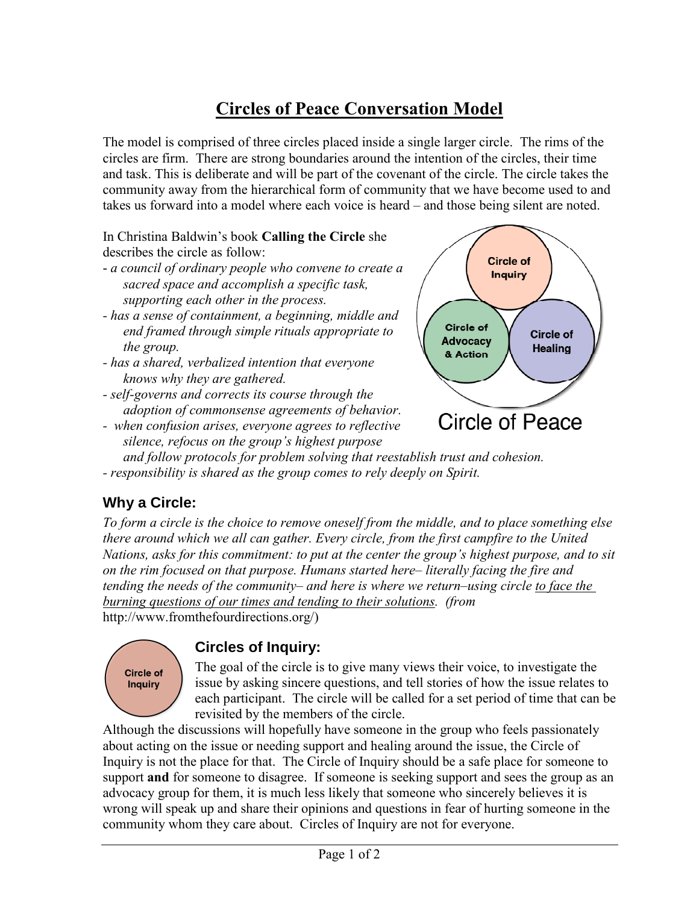# **Circles of Peace Conversation Model**

The model is comprised of three circles placed inside a single larger circle. The rims of the circles are firm. There are strong boundaries around the intention of the circles, their time and task. This is deliberate and will be part of the covenant of the circle. The circle takes the community away from the hierarchical form of community that we have become used to and takes us forward into a model where each voice is heard – and those being silent are noted.

In Christina Baldwin's book **Calling the Circle** she describes the circle as follow:

- *a council of ordinary people who convene to create a sacred space and accomplish a specific task, supporting each other in the process.*
- *- has a sense of containment, a beginning, middle and end framed through simple rituals appropriate to the group.*
- *- has a shared, verbalized intention that everyone knows why they are gathered.*
- *- self-governs and corrects its course through the adoption of commonsense agreements of behavior.*

*- when confusion arises, everyone agrees to reflective* 



- *silence, refocus on the group's highest purpose and follow protocols for problem solving that reestablish trust and cohesion.*
- *- responsibility is shared as the group comes to rely deeply on Spirit.*

## **Why a Circle:**

*To form a circle is the choice to remove oneself from the middle, and to place something else there around which we all can gather. Every circle, from the first campfire to the United Nations, asks for this commitment: to put at the center the group's highest purpose, and to sit on the rim focused on that purpose. Humans started here– literally facing the fire and tending the needs of the community– and here is where we return–using circle to face the burning questions of our times and tending to their solutions. (from*  http://www.fromthefourdirections.org/)

**Circle of Inquiry** 

### **Circles of Inquiry:**

The goal of the circle is to give many views their voice, to investigate the issue by asking sincere questions, and tell stories of how the issue relates to each participant. The circle will be called for a set period of time that can be revisited by the members of the circle.

Although the discussions will hopefully have someone in the group who feels passionately about acting on the issue or needing support and healing around the issue, the Circle of Inquiry is not the place for that. The Circle of Inquiry should be a safe place for someone to support **and** for someone to disagree. If someone is seeking support and sees the group as an advocacy group for them, it is much less likely that someone who sincerely believes it is wrong will speak up and share their opinions and questions in fear of hurting someone in the community whom they care about. Circles of Inquiry are not for everyone.